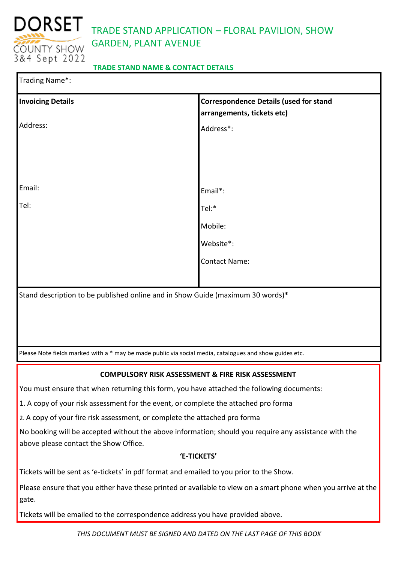

# TRADE STAND APPLICATION – FLORAL PAVILION, SHOW GARDEN, PLANT AVENUE

# **TRADE STAND NAME & CONTACT DETAILS**

| Trading Name*:           |                                                                                                         |
|--------------------------|---------------------------------------------------------------------------------------------------------|
| <b>Invoicing Details</b> | <b>Correspondence Details (used for stand</b><br>arrangements, tickets etc)                             |
| Address:                 | Address*:                                                                                               |
|                          |                                                                                                         |
|                          |                                                                                                         |
| Email:                   | Email*:                                                                                                 |
| Tel:                     | Tel:*                                                                                                   |
|                          | Mobile:                                                                                                 |
|                          | Website*:                                                                                               |
|                          | <b>Contact Name:</b>                                                                                    |
|                          |                                                                                                         |
|                          | Stand description to be published online and in Show Guide (maximum 30 words)*                          |
|                          |                                                                                                         |
|                          |                                                                                                         |
|                          | Please Note fields marked with a * may be made public via social media, catalogues and show guides etc. |
|                          | FIDE DICK ACCECCA                                                                                       |

## **COMPULSORY RISK ASSESSMENT & FIRE RISK ASSESSMENT**

You must ensure that when returning this form, you have attached the following documents:

1. A copy of your risk assessment for the event, or complete the attached pro forma

2. A copy of your fire risk assessment, or complete the attached pro forma

No booking will be accepted without the above information; should you require any assistance with the above please contact the Show Office.

## **'E-TICKETS'**

Tickets will be sent as 'e-tickets' in pdf format and emailed to you prior to the Show.

Please ensure that you either have these printed or available to view on a smart phone when you arrive at the gate.

Tickets will be emailed to the correspondence address you have provided above.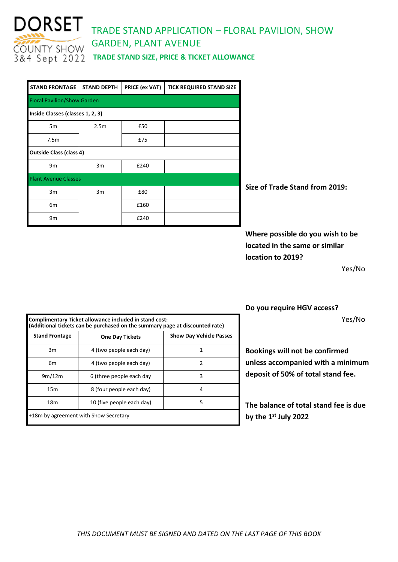

# DORSET TRADE STAND APPLICATION – FLORAL PAVILION, SHOW GARDEN, PLANT AVENUE

| <b>STAND FRONTAGE</b>              | <b>STAND DEPTH</b> | PRICE (ex VAT) | <b>TICK REQUIRED STAND SIZE</b> |  |  |  |  |
|------------------------------------|--------------------|----------------|---------------------------------|--|--|--|--|
| <b>Floral Pavilion/Show Garden</b> |                    |                |                                 |  |  |  |  |
| Inside Classes (classes 1, 2, 3)   |                    |                |                                 |  |  |  |  |
| 5 <sub>m</sub>                     | 2.5 <sub>m</sub>   | £50            |                                 |  |  |  |  |
| 7.5m                               |                    | £75            |                                 |  |  |  |  |
| <b>Outside Class (class 4)</b>     |                    |                |                                 |  |  |  |  |
| 9 <sub>m</sub>                     | 3m                 | £240           |                                 |  |  |  |  |
| <b>Plant Avenue Classes</b>        |                    |                |                                 |  |  |  |  |
| 3m                                 | 3m                 | £80            |                                 |  |  |  |  |
| 6 <sub>m</sub>                     |                    | £160           |                                 |  |  |  |  |
| 9m                                 |                    | £240           |                                 |  |  |  |  |

**Size of Trade Stand from 2019:** 

**Where possible do you wish to be located in the same or similar location to 2019?** 

Yes/No

| Complimentary Ticket allowance included in stand cost:<br>(Additional tickets can be purchased on the summary page at discounted rate) |                                       |                                |  |  |
|----------------------------------------------------------------------------------------------------------------------------------------|---------------------------------------|--------------------------------|--|--|
| <b>Stand Frontage</b>                                                                                                                  | <b>One Day Tickets</b>                | <b>Show Day Vehicle Passes</b> |  |  |
| 3m                                                                                                                                     | 4 (two people each day)               |                                |  |  |
| 6m                                                                                                                                     | 4 (two people each day)               | 2                              |  |  |
| 9m/12m                                                                                                                                 | 6 (three people each day              | 3                              |  |  |
| 15 <sub>m</sub>                                                                                                                        | 8 (four people each day)              | 4                              |  |  |
| 18 <sub>m</sub>                                                                                                                        | 10 (five people each day)             | 5                              |  |  |
|                                                                                                                                        | +18m by agreement with Show Secretary |                                |  |  |

**Do you require HGV access?**

Yes/No

**Bookings will not be confirmed unless accompanied with a minimum deposit of 50% of total stand fee.**

**The balance of total stand fee is due by the 1st July 2022**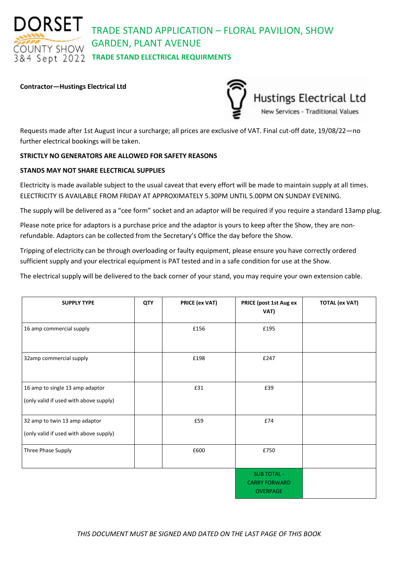DORSET TRADE STAND APPLICATION – FLORAL PAVILION, SHOW GARDEN, PLANT AVENUE

# **OUNTY SHOW & 4 Sept 2022 TRADE STAND ELECTRICAL REQUIRMENTS**

#### **Contractor—Hustings Electrical Ltd**

Hustings Electrical Ltd<br>New Services - Traditional Values

Requests made after 1st August incur a surcharge; all prices are exclusive of VAT. Final cut-off date, 19/08/22—no further electrical bookings will be taken.

#### **STRICTLY NO GENERATORS ARE ALLOWED FOR SAFETY REASONS**

#### **STANDS MAY NOT SHARE ELECTRICAL SUPPLIES**

Electricity is made available subject to the usual caveat that every effort will be made to maintain supply at all times. ELECTRICITY IS AVAILABLE FROM FRIDAY AT APPROXIMATELY 5.30PM UNTIL 5.00PM ON SUNDAY EVENING.

The supply will be delivered as a "cee form" socket and an adaptor will be required if you require a standard 13amp plug.

Please note price for adaptors is a purchase price and the adaptor is yours to keep after the Show, they are nonrefundable. Adaptors can be collected from the Secretary's Office the day before the Show.

Tripping of electricity can be through overloading or faulty equipment, please ensure you have correctly ordered sufficient supply and your electrical equipment is PAT tested and in a safe condition for use at the Show.

The electrical supply will be delivered to the back corner of your stand, you may require your own extension cable.

| <b>SUPPLY TYPE</b>                                                        | <b>QTY</b> | <b>PRICE (ex VAT)</b> | PRICE (post 1st Aug ex<br>VAT)                                | <b>TOTAL (ex VAT)</b> |
|---------------------------------------------------------------------------|------------|-----------------------|---------------------------------------------------------------|-----------------------|
| 16 amp commercial supply                                                  |            | £156                  | £195                                                          |                       |
| 32amp commercial supply                                                   |            | £198                  | £247                                                          |                       |
| 16 amp to single 13 amp adaptor<br>(only valid if used with above supply) |            | £31                   | £39                                                           |                       |
| 32 amp to twin 13 amp adaptor<br>(only valid if used with above supply)   |            | £59                   | £74                                                           |                       |
| Three Phase Supply                                                        |            | £600                  | £750                                                          |                       |
|                                                                           |            |                       | <b>SUB TOTAL -</b><br><b>CARRY FORWARD</b><br><b>OVERPAGE</b> |                       |